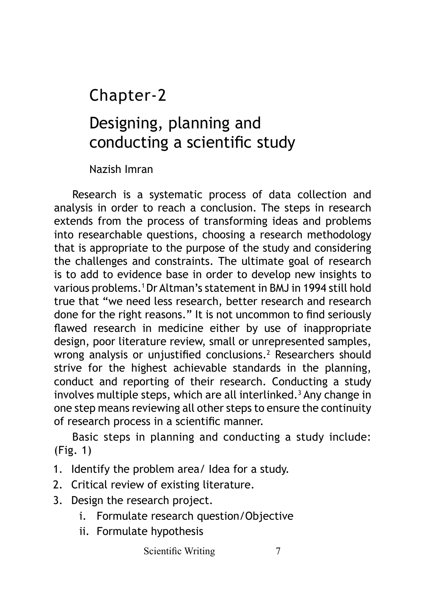# Chapter-2

# Designing, planning and conducting a scientific study

Nazish Imran

Research is a systematic process of data collection and analysis in order to reach a conclusion. The steps in research extends from the process of transforming ideas and problems into researchable questions, choosing a research methodology that is appropriate to the purpose of the study and considering the challenges and constraints. The ultimate goal of research is to add to evidence base in order to develop new insights to various problems.1 Dr Altman's statement in BMJ in 1994 still hold true that "we need less research, better research and research done for the right reasons." It is not uncommon to find seriously flawed research in medicine either by use of inappropriate design, poor literature review, small or unrepresented samples, wrong analysis or unjustified conclusions.<sup>2</sup> Researchers should strive for the highest achievable standards in the planning, conduct and reporting of their research. Conducting a study involves multiple steps, which are all interlinked.<sup>3</sup> Any change in one step means reviewing all other steps to ensure the continuity of research process in a scientific manner.

Basic steps in planning and conducting a study include: (Fig. 1)

- 1. Identify the problem area/ Idea for a study.
- 2. Critical review of existing literature.
- 3. Design the research project.
	- i. Formulate research question/Objective
	- ii. Formulate hypothesis

Scientific Writing 7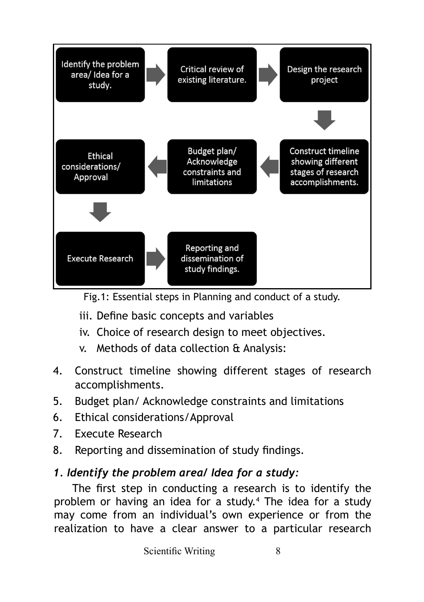

Fig.1: Essential steps in Planning and conduct of a study.

- iii. Define basic concepts and variables
- iv. Choice of research design to meet objectives.
- v. Methods of data collection & Analysis:
- 4. Construct timeline showing different stages of research accomplishments.
- 5. Budget plan/ Acknowledge constraints and limitations
- 6. Ethical considerations/Approval
- 7. Execute Research
- 8. Reporting and dissemination of study findings.

## *1. Identify the problem area/ Idea for a study:*

The first step in conducting a research is to identify the problem or having an idea for a study.<sup>4</sup> The idea for a study may come from an individual's own experience or from the realization to have a clear answer to a particular research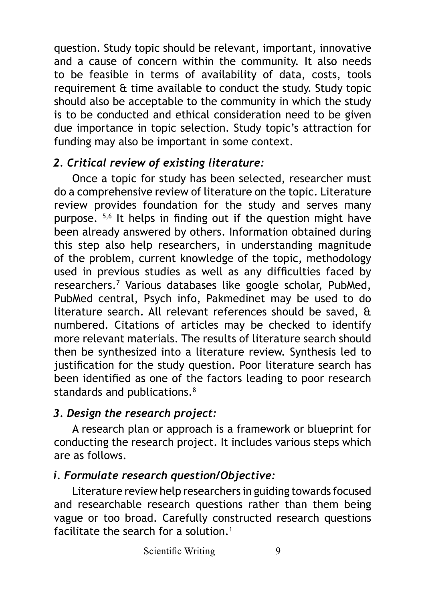question. Study topic should be relevant, important, innovative and a cause of concern within the community. It also needs to be feasible in terms of availability of data, costs, tools requirement & time available to conduct the study. Study topic should also be acceptable to the community in which the study is to be conducted and ethical consideration need to be given due importance in topic selection. Study topic's attraction for funding may also be important in some context.

#### *2. Critical review of existing literature:*

Once a topic for study has been selected, researcher must do a comprehensive review of literature on the topic. Literature review provides foundation for the study and serves many purpose. 5,6 It helps in finding out if the question might have been already answered by others. Information obtained during this step also help researchers, in understanding magnitude of the problem, current knowledge of the topic, methodology used in previous studies as well as any difficulties faced by researchers.<sup>7</sup> Various databases like google scholar, PubMed, PubMed central, Psych info, Pakmedinet may be used to do literature search. All relevant references should be saved, & numbered. Citations of articles may be checked to identify more relevant materials. The results of literature search should then be synthesized into a literature review. Synthesis led to justification for the study question. Poor literature search has been identified as one of the factors leading to poor research standards and publications.<sup>8</sup>

# *3. Design the research project:*

A research plan or approach is a framework or blueprint for conducting the research project. It includes various steps which are as follows.

# *i. Formulate research question/Objective:*

Literature review help researchers in guiding towards focused and researchable research questions rather than them being vague or too broad. Carefully constructed research questions facilitate the search for a solution.<sup>1</sup>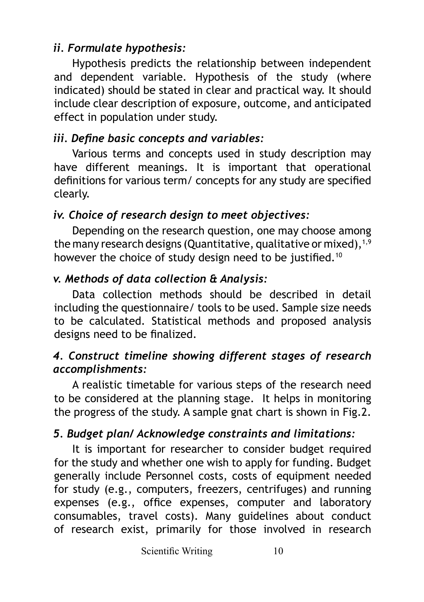## *ii. Formulate hypothesis:*

Hypothesis predicts the relationship between independent and dependent variable. Hypothesis of the study (where indicated) should be stated in clear and practical way. It should include clear description of exposure, outcome, and anticipated effect in population under study.

## *iii. Define basic concepts and variables:*

Various terms and concepts used in study description may have different meanings. It is important that operational definitions for various term/ concepts for any study are specified clearly.

#### *iv. Choice of research design to meet objectives:*

Depending on the research question, one may choose among the many research designs (Quantitative, qualitative or mixed), $1,9$ however the choice of study design need to be justified.<sup>10</sup>

#### *v. Methods of data collection & Analysis:*

Data collection methods should be described in detail including the questionnaire/ tools to be used. Sample size needs to be calculated. Statistical methods and proposed analysis designs need to be finalized.

#### *4. Construct timeline showing different stages of research accomplishments:*

A realistic timetable for various steps of the research need to be considered at the planning stage. It helps in monitoring the progress of the study. A sample gnat chart is shown in Fig.2.

## *5. Budget plan/ Acknowledge constraints and limitations:*

It is important for researcher to consider budget required for the study and whether one wish to apply for funding. Budget generally include Personnel costs, costs of equipment needed for study (e.g., computers, freezers, centrifuges) and running expenses (e.g., office expenses, computer and laboratory consumables, travel costs). Many guidelines about conduct of research exist, primarily for those involved in research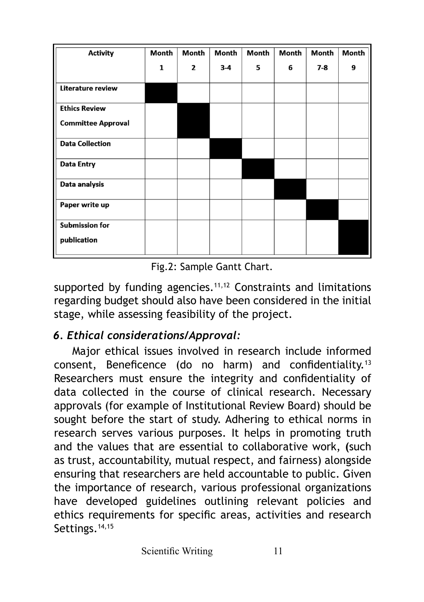| <b>Activity</b>                      | Month        | Month | Month | Month | Month | Month | Month |
|--------------------------------------|--------------|-------|-------|-------|-------|-------|-------|
|                                      | $\mathbf{1}$ | 2     | $3-4$ | 5     | 6     | $7-8$ | 9     |
| Literature review                    |              |       |       |       |       |       |       |
| <b>Ethics Review</b>                 |              |       |       |       |       |       |       |
| <b>Committee Approval</b>            |              |       |       |       |       |       |       |
| <b>Data Collection</b>               |              |       |       |       |       |       |       |
| <b>Data Entry</b>                    |              |       |       |       |       |       |       |
| Data analysis                        |              |       |       |       |       |       |       |
| Paper write up                       |              |       |       |       |       |       |       |
| <b>Submission for</b><br>publication |              |       |       |       |       |       |       |

Fig.2: Sample Gantt Chart.

supported by funding agencies. $11,12$  Constraints and limitations regarding budget should also have been considered in the initial stage, while assessing feasibility of the project.

#### *6. Ethical considerations/Approval:*

Major ethical issues involved in research include informed consent, Beneficence (do no harm) and confidentiality.<sup>13</sup> Researchers must ensure the integrity and confidentiality of data collected in the course of clinical research. Necessary approvals (for example of Institutional Review Board) should be sought before the start of study. Adhering to ethical norms in research serves various purposes. It helps in promoting truth and the values that are essential to collaborative work, **(**such as trust, accountability, mutual respect, and fairness) alongside ensuring that researchers are held accountable to public. Given the importance of research, various professional organizations have developed guidelines outlining relevant policies and ethics requirements for specific areas, activities and research Settings.<sup>14,15</sup>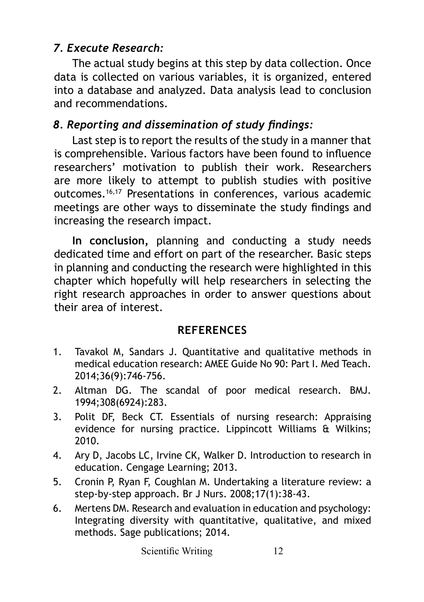## *7. Execute Research:*

The actual study begins at this step by data collection. Once data is collected on various variables, it is organized, entered into a database and analyzed. Data analysis lead to conclusion and recommendations.

# *8. Reporting and dissemination of study findings:*

Last step is to report the results of the study in a manner that is comprehensible. Various factors have been found to influence researchers' motivation to publish their work. Researchers are more likely to attempt to publish studies with positive outcomes.16,17 Presentations in conferences, various academic meetings are other ways to disseminate the study findings and increasing the research impact.

**In conclusion,** planning and conducting a study needs dedicated time and effort on part of the researcher. Basic steps in planning and conducting the research were highlighted in this chapter which hopefully will help researchers in selecting the right research approaches in order to answer questions about their area of interest.

#### **REFERENCES**

- 1. Tavakol M, Sandars J. Quantitative and qualitative methods in medical education research: AMEE Guide No 90: Part I. Med Teach. 2014;36(9):746-756.
- 2. Altman DG. The scandal of poor medical research. BMJ. 1994;308(6924):283.
- 3. Polit DF, Beck CT. Essentials of nursing research: Appraising evidence for nursing practice. Lippincott Williams & Wilkins; 2010.
- 4. Ary D, Jacobs LC, Irvine CK, Walker D. Introduction to research in education. Cengage Learning; 2013.
- 5. Cronin P, Ryan F, Coughlan M. Undertaking a literature review: a step-by-step approach. Br J Nurs. 2008;17(1):38-43.
- 6. Mertens DM. Research and evaluation in education and psychology: Integrating diversity with quantitative, qualitative, and mixed methods. Sage publications; 2014.